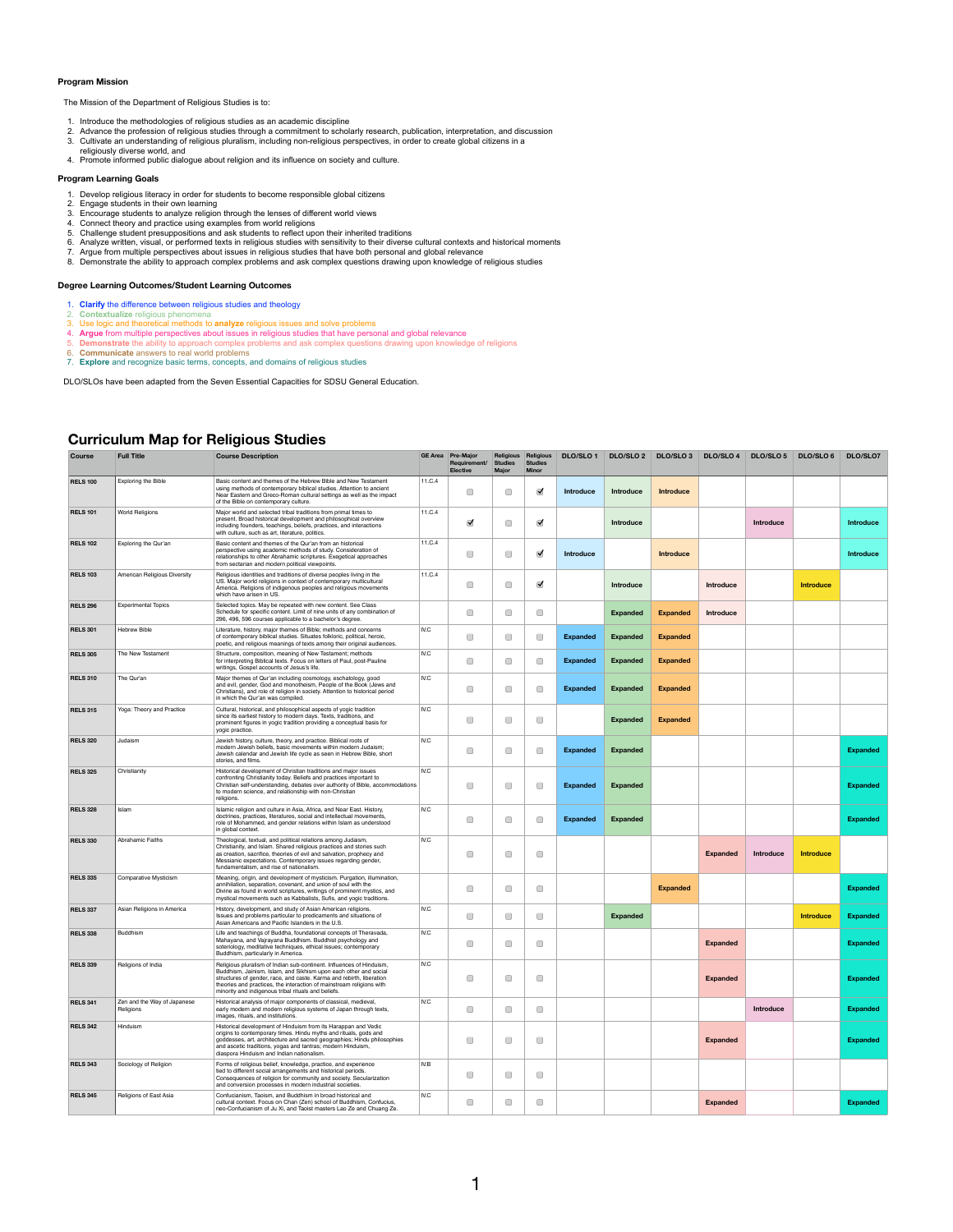## **Curriculum Map for Religious Studies**

| <b>Course</b>   | <b>Full Title</b>                        | <b>Course Description</b>                                                                                                                                                                                                                                                                                                                       |        | <b>GE Area</b> Pre-Major<br>Requirement/<br><b>Elective</b> | Studies<br>Major                                             | Religious Religious<br><b>Studies</b><br><b>Minor</b> | <b>DLO/SLO1</b>  | <b>DLO/SLO 2</b> | <b>DLO/SLO3</b>  | <b>DLO/SLO 4</b> | <b>DLO/SLO 5</b> | <b>DLO/SLO6</b>  | <b>DLO/SLO7</b>  |
|-----------------|------------------------------------------|-------------------------------------------------------------------------------------------------------------------------------------------------------------------------------------------------------------------------------------------------------------------------------------------------------------------------------------------------|--------|-------------------------------------------------------------|--------------------------------------------------------------|-------------------------------------------------------|------------------|------------------|------------------|------------------|------------------|------------------|------------------|
| <b>RELS 100</b> | <b>Exploring the Bible</b>               | Basic content and themes of the Hebrew Bible and New Testament<br>using methods of contemporary biblical studies. Attention to ancient<br>Near Eastern and Greco-Roman cultural settings as well as the impact<br>of the Bible on contemporary culture.                                                                                         | 11.C.4 |                                                             |                                                              | $\blacktriangledown$                                  | <b>Introduce</b> | <b>Introduce</b> | <b>Introduce</b> |                  |                  |                  |                  |
| <b>RELS 101</b> | <b>World Religions</b>                   | Major world and selected tribal traditions from primal times to<br>present. Broad historical development and philosophical overview<br>including founders, teachings, beliefs, practices, and interactions<br>with culture, such as art, literature, politics.                                                                                  | 11.C.4 | $\blacktriangledown$                                        | $\Box$                                                       | $\blacktriangledown$                                  |                  | <b>Introduce</b> |                  |                  | <b>Introduce</b> |                  | <b>Introduce</b> |
| <b>RELS 102</b> | Exploring the Qur'an                     | Basic content and themes of the Qur'an from an historical<br>perspective using academic methods of study. Consideration of<br>relationships to other Abrahamic scriptures. Exegetical approaches<br>from sectarian and modern political viewpoints.                                                                                             | 11.C.4 |                                                             |                                                              | $\blacktriangledown$                                  | <b>Introduce</b> |                  | <b>Introduce</b> |                  |                  |                  | <b>Introduce</b> |
| <b>RELS 103</b> | <b>American Religious Diversity</b>      | Religious identities and traditions of diverse peoples living in the<br>US. Major world religions in context of contemporary multicultural<br>America. Religions of indigenous peoples and religious movements<br>which have arisen in US.                                                                                                      | 11.C.4 | $\begin{array}{ c } \hline \hline \hline \end{array}$       | $\Box$                                                       | $\blacktriangledown$                                  |                  | <b>Introduce</b> |                  | <b>Introduce</b> |                  | <b>Introduce</b> |                  |
| <b>RELS 296</b> | <b>Experimental Topics</b>               | Selected topics. May be repeated with new content. See Class<br>Schedule for specific content. Limit of nine units of any combination of<br>296, 496, 596 courses applicable to a bachelor's degree.                                                                                                                                            |        | $\Box$                                                      | $\Box$                                                       | $\Box$                                                |                  | <b>Expanded</b>  | <b>Expanded</b>  | <b>Introduce</b> |                  |                  |                  |
| <b>RELS 301</b> | <b>Hebrew Bible</b>                      | Literature, history, major themes of Bible; methods and concerns<br>of contemporary biblical studies. Situates folkloric, political, heroic,<br>poetic, and religious meanings of texts among their original audiences.                                                                                                                         | IV.C   | $\begin{array}{ c } \hline \end{array}$                     | $\Box$                                                       |                                                       | <b>Expanded</b>  | <b>Expanded</b>  | <b>Expanded</b>  |                  |                  |                  |                  |
| <b>RELS 305</b> | The New Testament                        | Structure, composition, meaning of New Testament; methods<br>for interpreting Biblical texts. Focus on letters of Paul, post-Pauline<br>writings, Gospel accounts of Jesus's life.                                                                                                                                                              | IV.C   |                                                             |                                                              |                                                       | <b>Expanded</b>  | <b>Expanded</b>  | <b>Expanded</b>  |                  |                  |                  |                  |
| <b>RELS 310</b> | The Qur'an                               | Major themes of Qur'an including cosmology, eschatology, good<br>and evil, gender, God and monotheism, People of the Book (Jews and<br>Christians), and role of religion in society. Attention to historical period<br>in which the Qur'an was compiled.                                                                                        | IV.C   | $\begin{array}{ c } \hline \end{array}$                     | $\Box$                                                       |                                                       | <b>Expanded</b>  | <b>Expanded</b>  | <b>Expanded</b>  |                  |                  |                  |                  |
| <b>RELS 315</b> | Yoga: Theory and Practice                | Cultural, historical, and philosophical aspects of yogic tradition<br>since its earliest history to modern days. Texts, traditions, and<br>prominent figures in yogic tradition providing a conceptual basis for<br>yogic practice.                                                                                                             | IV.C   |                                                             |                                                              | $\Box$                                                |                  | <b>Expanded</b>  | <b>Expanded</b>  |                  |                  |                  |                  |
| <b>RELS 320</b> | Judaism                                  | Jewish history, culture, theory, and practice. Biblical roots of<br>modern Jewish beliefs, basic movements within modern Judaism;<br>Jewish calendar and Jewish life cycle as seen in Hebrew Bible, short<br>stories, and films.                                                                                                                | IV.C   |                                                             | $\Box$                                                       | $\Box$                                                | <b>Expanded</b>  | <b>Expanded</b>  |                  |                  |                  |                  | <b>Expanded</b>  |
| <b>RELS 325</b> | Christianity                             | Historical development of Christian traditions and major issues<br>confronting Christianity today. Beliefs and practices important to<br>Christian self-understanding, debates over authority of Bible, accommodations<br>to modern science, and relationship with non-Christian<br>religions.                                                  | IV.C   | $\Box$                                                      | $\Box$                                                       | $\Box$                                                | <b>Expanded</b>  | <b>Expanded</b>  |                  |                  |                  |                  | <b>Expanded</b>  |
| <b>RELS 328</b> | <b>Islam</b>                             | Islamic religion and culture in Asia, Africa, and Near East. History,<br>doctrines, practices, literatures, social and intellectual movements,<br>role of Mohammed, and gender relations within Islam as understood<br>in global context.                                                                                                       | IV.C   | $\begin{array}{ c } \hline \end{array}$                     | $\begin{array}{ c } \hline \hline \hline \end{array}$        | $\Box$                                                | <b>Expanded</b>  | <b>Expanded</b>  |                  |                  |                  |                  | <b>Expanded</b>  |
| <b>RELS 330</b> | <b>Abrahamic Faiths</b>                  | Theological, textual, and political relations among Judaism,<br>Christianity, and Islam. Shared religious practices and stories such<br>as creation, sacrifice, theories of evil and salvation, prophecy and<br>Messianic expectations. Contemporary issues regarding gender,<br>fundamentalism, and rise of nationalism.                       | IV.C   | $\Box$                                                      | $\Box$                                                       | $\Box$                                                |                  |                  |                  | <b>Expanded</b>  | <b>Introduce</b> | <b>Introduce</b> |                  |
| <b>RELS 335</b> | <b>Comparative Mysticism</b>             | Meaning, origin, and development of mysticism. Purgation, illumination,<br>annihilation, separation, covenant, and union of soul with the<br>Divine as found in world scriptures, writings of prominent mystics, and<br>mystical movements such as Kabbalists, Sufis, and yogic traditions.                                                     |        |                                                             |                                                              |                                                       |                  |                  | <b>Expanded</b>  |                  |                  |                  | <b>Expanded</b>  |
| <b>RELS 337</b> | Asian Religions in America               | History, development, and study of Asian American religions.<br>Issues and problems particular to predicaments and situations of<br>Asian Americans and Pacific Islanders in the U.S.                                                                                                                                                           | IV.C   | $\Box$                                                      |                                                              | $\bigcap$                                             |                  | <b>Expanded</b>  |                  |                  |                  | <b>Introduce</b> | <b>Expanded</b>  |
| <b>RELS 338</b> | <b>Buddhism</b>                          | Life and teachings of Buddha, foundational concepts of Theravada,<br>Mahayana, and Vajrayana Buddhism. Buddhist psychology and<br>soteriology, meditative techniques, ethical issues; contemporary<br>Buddhism, particularly in America.                                                                                                        | IV.C   |                                                             | $\Box$                                                       | $\Box$                                                |                  |                  |                  | <b>Expanded</b>  |                  |                  | <b>Expanded</b>  |
| <b>RELS 339</b> | Religions of India                       | Religious pluralism of Indian sub-continent. Influences of Hinduism,<br>Buddhism, Jainism, Islam, and Sikhism upon each other and social<br>structures of gender, race, and caste. Karma and rebirth, liberation<br>theories and practices, the interaction of mainstream religions with<br>minority and indigenous tribal rituals and beliefs. | IV.C   |                                                             |                                                              | $\Box$                                                |                  |                  |                  | <b>Expanded</b>  |                  |                  | <b>Expanded</b>  |
| <b>RELS 341</b> | Zen and the Way of Japanese<br>Religions | Historical analysis of major components of classical, medieval,<br>early modern and modern religious systems of Japan through texts,<br>images, rituals, and institutions.                                                                                                                                                                      | IV.C   | $\begin{array}{ c } \hline \hline \hline \end{array}$       |                                                              | $\Box$                                                |                  |                  |                  |                  | <b>Introduce</b> |                  | <b>Expanded</b>  |
| <b>RELS 342</b> | Hinduism                                 | Historical development of Hinduism from its Harappan and Vedic<br>origins to contemporary times. Hindu myths and rituals, gods and<br>goddesses, art, architecture and sacred geographies; Hindu philosophies<br>and ascetic traditions, yogas and tantras; modern Hinduism,<br>diaspora Hinduism and Indian nationalism.                       |        |                                                             | $\begin{array}{ c } \hline \hline \hline \hline \end{array}$ | $\Box$                                                |                  |                  |                  | <b>Expanded</b>  |                  |                  | <b>Expanded</b>  |
| <b>RELS 343</b> | Sociology of Religion                    | Forms of religious belief, knowledge, practice, and experience<br>tied to different social arrangements and historical periods.<br>Consequences of religion for community and society. Secularization<br>and conversion processes in modern industrial societies.                                                                               | IV.B   | $\begin{array}{ c } \hline \hline \end{array}$              | $\Box$                                                       | $\qquad \qquad \Box$                                  |                  |                  |                  |                  |                  |                  |                  |
| <b>RELS 345</b> | <b>Religions of East Asia</b>            | Confucianism, Taoism, and Buddhism in broad historical and<br>cultural context. Focus on Chan (Zen) school of Buddhism, Confucius,<br>neo-Confucianism of Ju Xi, and Taoist masters Lao Ze and Chuang Ze.                                                                                                                                       | IV.C   | $\Box$                                                      | $\Box$                                                       | $\Box$                                                |                  |                  |                  | <b>Expanded</b>  |                  |                  | <b>Expanded</b>  |

## **Program Mission**

The Mission of the Department of Religious Studies is to:

- 1. Introduce the methodologies of religious studies as an academic discipline
- 2. Advance the profession of religious studies through a commitment to scholarly research, publication, interpretation, and discussion
- 3. Cultivate an understanding of religious pluralism, including non-religious perspectives, in order to create global citizens in a religiously diverse world, and
- 4. Promote informed public dialogue about religion and its influence on society and culture.

## **Program Learning Goals**

- 1. Develop religious literacy in order for students to become responsible global citizens
- 2. Engage students in their own learning
- 3. Encourage students to analyze religion through the lenses of different world views
- 4. Connect theory and practice using examples from world religions
- 5. Challenge student presuppositions and ask students to reflect upon their inherited traditions
- 6. Analyze written, visual, or performed texts in religious studies with sensitivity to their diverse cultural contexts and historical moments
- 7. Argue from multiple perspectives about issues in religious studies that have both personal and global relevance
- 8. Demonstrate the ability to approach complex problems and ask complex questions drawing upon knowledge of religious studies

## **Degree Learning Outcomes/Student Learning Outcomes**

- 1. **Clarify** the difference between religious studies and theology
- 2. **Contextualize** religious phenomena
- 3. Use logic and theoretical methods to **analyze** religious issues and solve problems
- 4. **Argue** from multiple perspectives about issues in religious studies that have personal and global relevance
- 5. **Demonstrate** the ability to approach complex problems and ask complex questions drawing upon knowledge of religions
- 6. **Communicate** answers to real world problems
- 7. **Explore** and recognize basic terms, concepts, and domains of religious studies

DLO/SLOs have been adapted from the Seven Essential Capacities for SDSU General Education.

1